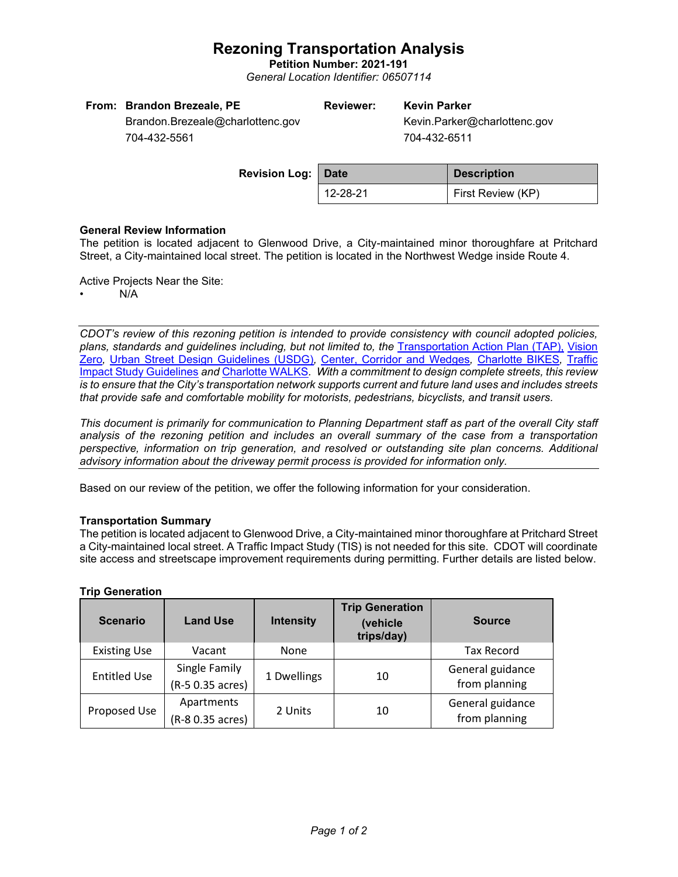# **Rezoning Transportation Analysis**

**Petition Number: 2021-191** *General Location Identifier: 06507114*

| From: Brandon Brezeale, PE       | <b>Reviewer:</b> | <b>Kevin Parker</b>          |
|----------------------------------|------------------|------------------------------|
| Brandon.Brezeale@charlottenc.gov |                  | Kevin.Parker@charlottenc.gov |
| 704-432-5561                     |                  | 704-432-6511                 |
|                                  |                  |                              |

| <b>Revision Log: Date</b> |          | <b>Description</b> |  |
|---------------------------|----------|--------------------|--|
|                           | 12-28-21 | First Review (KP)  |  |

### **General Review Information**

The petition is located adjacent to Glenwood Drive, a City-maintained minor thoroughfare at Pritchard Street, a City-maintained local street. The petition is located in the Northwest Wedge inside Route 4.

Active Projects Near the Site:

• N/A

*CDOT's review of this rezoning petition is intended to provide consistency with council adopted policies, plans, standards and guidelines including, but not limited to, the* [Transportation Action Plan \(TAP\),](https://charlottenc.gov/Transportation/Programs/Pages/TransportationActionPlan.aspx) [Vision](https://charlottenc.gov/VisionZero/Pages/VisionZero.aspx)  [Zero](https://charlottenc.gov/VisionZero/Pages/VisionZero.aspx)*,* [Urban Street Design Guidelines \(USDG\)](https://charlottenc.gov/Transportation/PlansProjects/Documents/USDG%20Full%20Document.pdf)*,* [Center, Corridor and](http://ww.charmeck.org/Planning/Land%20Use%20Planning/CentersCorridorsWedges/CentersCorridorsWedges(Adopted).pdf) Wedges*,* [Charlotte BIKES](https://charlottenc.gov/Transportation/Programs/Pages/Bicycle.aspx)*,* [Traffic](https://charlottenc.gov/Transportation/Permits/Documents/TISProcessandGuildlines.pdf)  [Impact Study Guidelines](https://charlottenc.gov/Transportation/Permits/Documents/TISProcessandGuildlines.pdf) *and* [Charlotte WALKS](https://charlottenc.gov/Transportation/Programs/Pages/CharlotteWalks.aspx)*. With a commitment to design complete streets, this review is to ensure that the City's transportation network supports current and future land uses and includes streets that provide safe and comfortable mobility for motorists, pedestrians, bicyclists, and transit users.*

*This document is primarily for communication to Planning Department staff as part of the overall City staff analysis of the rezoning petition and includes an overall summary of the case from a transportation perspective, information on trip generation, and resolved or outstanding site plan concerns. Additional advisory information about the driveway permit process is provided for information only.*

Based on our review of the petition, we offer the following information for your consideration.

### **Transportation Summary**

The petition is located adjacent to Glenwood Drive, a City-maintained minor thoroughfare at Pritchard Street a City-maintained local street. A Traffic Impact Study (TIS) is not needed for this site. CDOT will coordinate site access and streetscape improvement requirements during permitting. Further details are listed below.

| <b>Scenario</b>     | <b>Land Use</b>  | <b>Intensity</b> | <b>Trip Generation</b><br>(vehicle<br>trips/day) | <b>Source</b>     |
|---------------------|------------------|------------------|--------------------------------------------------|-------------------|
| <b>Existing Use</b> | Vacant           | <b>None</b>      |                                                  | <b>Tax Record</b> |
| <b>Entitled Use</b> | Single Family    | 1 Dwellings      | 10                                               | General guidance  |
|                     | (R-5 0.35 acres) |                  |                                                  | from planning     |
| Proposed Use        | Apartments       | 2 Units          | 10                                               | General guidance  |
|                     | (R-8 0.35 acres) |                  |                                                  | from planning     |

### **Trip Generation**